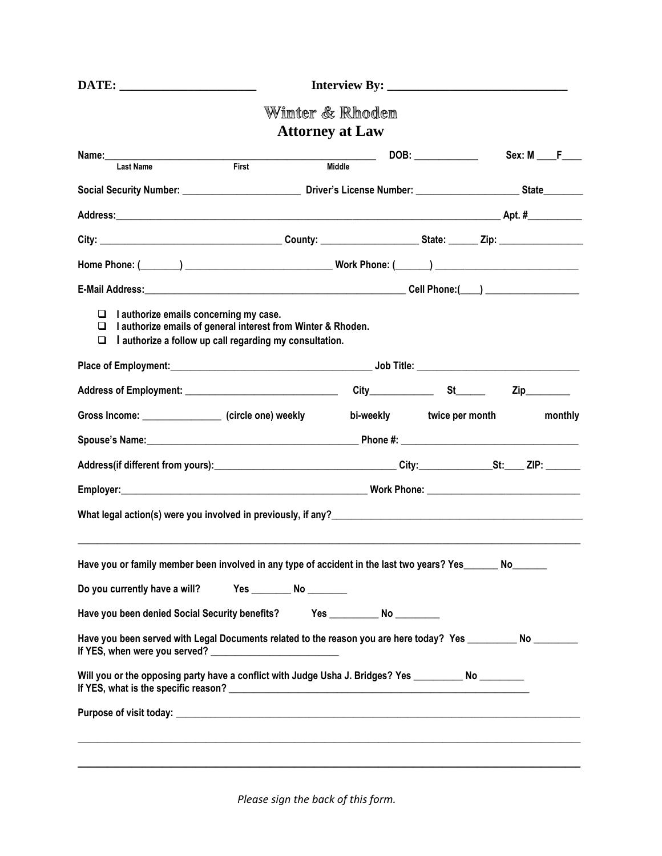|                                                                                                                                                                                  |                           | Winter & Rhoden                       |                           |                             |          |
|----------------------------------------------------------------------------------------------------------------------------------------------------------------------------------|---------------------------|---------------------------------------|---------------------------|-----------------------------|----------|
|                                                                                                                                                                                  |                           | <b>Attorney at Law</b>                |                           |                             |          |
| <b>Last Name</b>                                                                                                                                                                 |                           | Middle<br><b>First</b>                |                           |                             | Sex: M F |
|                                                                                                                                                                                  |                           |                                       |                           |                             |          |
|                                                                                                                                                                                  |                           |                                       |                           |                             |          |
|                                                                                                                                                                                  |                           |                                       |                           |                             |          |
|                                                                                                                                                                                  |                           |                                       |                           |                             |          |
|                                                                                                                                                                                  |                           |                                       |                           |                             |          |
| I authorize emails concerning my case.<br>⊔<br>I authorize emails of general interest from Winter & Rhoden.<br>⊔<br>I authorize a follow up call regarding my consultation.<br>⊔ |                           |                                       |                           |                             |          |
|                                                                                                                                                                                  |                           |                                       |                           |                             |          |
|                                                                                                                                                                                  |                           |                                       |                           | $\mathsf{Zip}\_\_\_\_\_\_\$ |          |
| Gross Income: _________________ (circle one) weekly                                                                                                                              |                           |                                       | bi-weekly twice per month |                             | monthly  |
|                                                                                                                                                                                  |                           |                                       |                           |                             |          |
|                                                                                                                                                                                  |                           |                                       |                           |                             |          |
|                                                                                                                                                                                  |                           |                                       |                           |                             |          |
|                                                                                                                                                                                  |                           |                                       |                           |                             |          |
| Have you or family member been involved in any type of accident in the last two years? Yes______ No______                                                                        |                           |                                       |                           |                             |          |
| Do you currently have a will?                                                                                                                                                    | Yes _________ No ________ |                                       |                           |                             |          |
| Have you been denied Social Security benefits?                                                                                                                                   |                           | Yes _________________ No ____________ |                           |                             |          |
| Have you been served with Legal Documents related to the reason you are here today? Yes __________ No ________                                                                   |                           |                                       |                           |                             |          |
| Will you or the opposing party have a conflict with Judge Usha J. Bridges? Yes _____________________                                                                             |                           |                                       |                           |                             |          |
|                                                                                                                                                                                  |                           |                                       |                           |                             |          |
|                                                                                                                                                                                  |                           |                                       |                           |                             |          |
|                                                                                                                                                                                  |                           |                                       |                           |                             |          |

*Please sign the back of this form.*